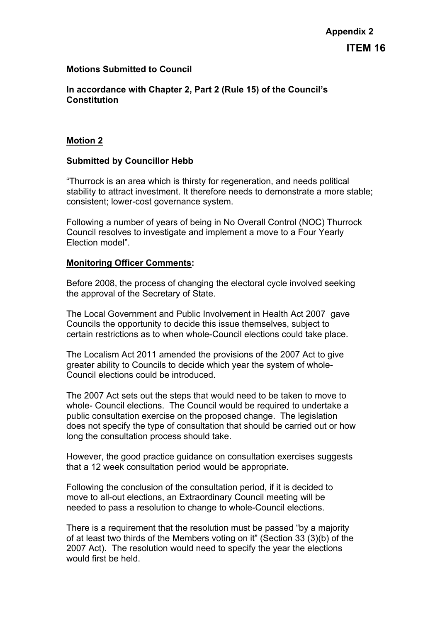## **Motions Submitted to Council**

**In accordance with Chapter 2, Part 2 (Rule 15) of the Council's Constitution**

### **Motion 2**

### **Submitted by Councillor Hebb**

"Thurrock is an area which is thirsty for regeneration, and needs political stability to attract investment. It therefore needs to demonstrate a more stable; consistent; lower-cost governance system.

Following a number of years of being in No Overall Control (NOC) Thurrock Council resolves to investigate and implement a move to a Four Yearly Election model".

#### **Monitoring Officer Comments:**

Before 2008, the process of changing the electoral cycle involved seeking the approval of the Secretary of State.

The Local Government and Public Involvement in Health Act 2007 gave Councils the opportunity to decide this issue themselves, subject to certain restrictions as to when whole-Council elections could take place.

The Localism Act 2011 amended the provisions of the 2007 Act to give greater ability to Councils to decide which year the system of whole-Council elections could be introduced.

The 2007 Act sets out the steps that would need to be taken to move to whole- Council elections. The Council would be required to undertake a public consultation exercise on the proposed change. The legislation does not specify the type of consultation that should be carried out or how long the consultation process should take.

However, the good practice guidance on consultation exercises suggests that a 12 week consultation period would be appropriate.

Following the conclusion of the consultation period, if it is decided to move to all-out elections, an Extraordinary Council meeting will be needed to pass a resolution to change to whole-Council elections.

There is a requirement that the resolution must be passed "by a majority of at least two thirds of the Members voting on it" (Section 33 (3)(b) of the 2007 Act). The resolution would need to specify the year the elections would first be held.